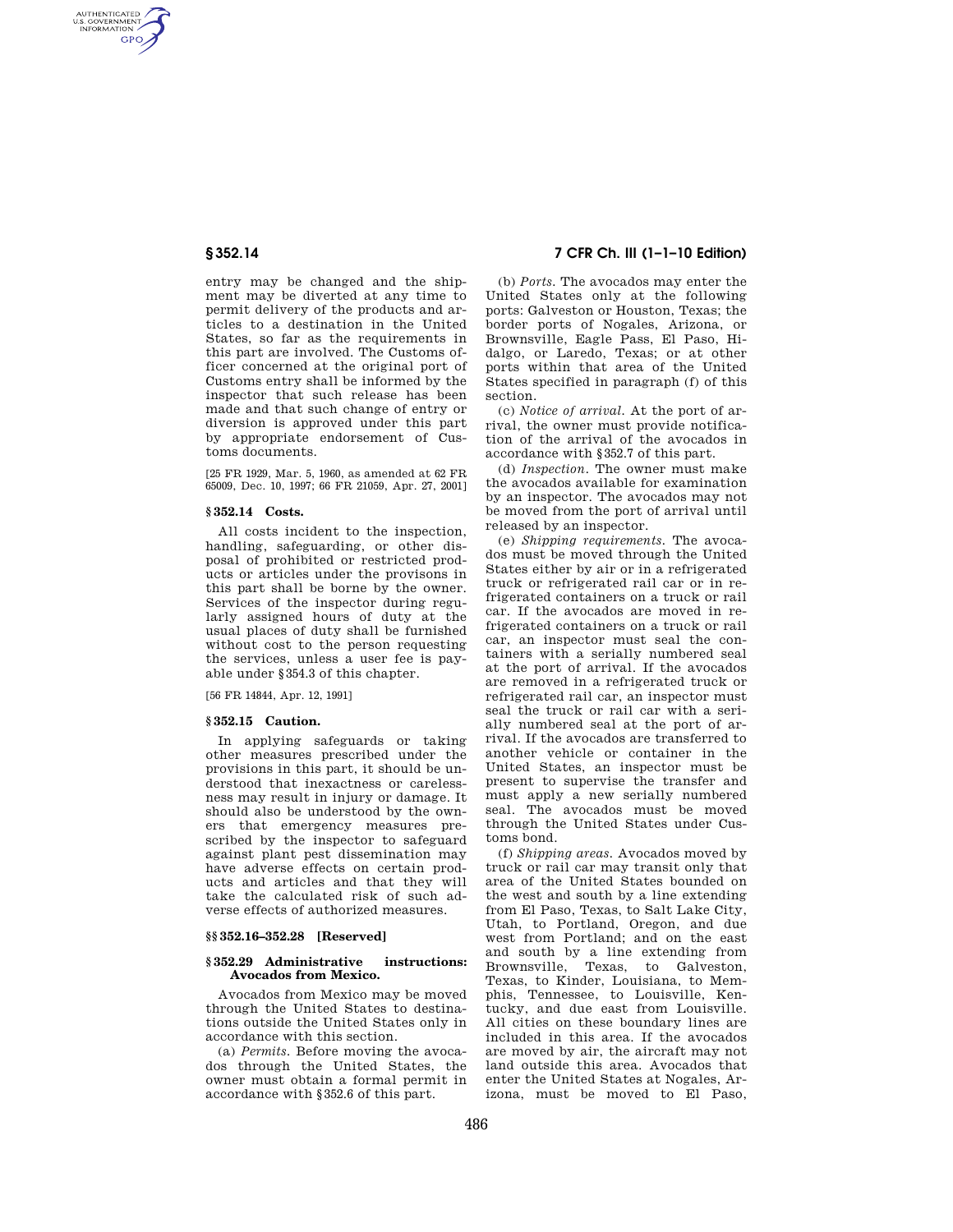AUTHENTICATED<br>U.S. GOVERNMENT<br>INFORMATION **GPO** 

> entry may be changed and the shipment may be diverted at any time to permit delivery of the products and articles to a destination in the United States, so far as the requirements in this part are involved. The Customs officer concerned at the original port of Customs entry shall be informed by the inspector that such release has been made and that such change of entry or diversion is approved under this part by appropriate endorsement of Customs documents.

[25 FR 1929, Mar. 5, 1960, as amended at 62 FR 65009, Dec. 10, 1997; 66 FR 21059, Apr. 27, 2001]

# **§ 352.14 Costs.**

All costs incident to the inspection, handling, safeguarding, or other disposal of prohibited or restricted products or articles under the provisons in this part shall be borne by the owner. Services of the inspector during regularly assigned hours of duty at the usual places of duty shall be furnished without cost to the person requesting the services, unless a user fee is payable under §354.3 of this chapter.

[56 FR 14844, Apr. 12, 1991]

#### **§ 352.15 Caution.**

In applying safeguards or taking other measures prescribed under the provisions in this part, it should be understood that inexactness or carelessness may result in injury or damage. It should also be understood by the owners that emergency measures prescribed by the inspector to safeguard against plant pest dissemination may have adverse effects on certain products and articles and that they will take the calculated risk of such adverse effects of authorized measures.

## **§§ 352.16–352.28 [Reserved]**

### **§ 352.29 Administrative instructions: Avocados from Mexico.**

Avocados from Mexico may be moved through the United States to destinations outside the United States only in accordance with this section.

(a) *Permits.* Before moving the avocados through the United States, the owner must obtain a formal permit in accordance with §352.6 of this part.

# **§ 352.14 7 CFR Ch. III (1–1–10 Edition)**

(b) *Ports.* The avocados may enter the United States only at the following ports: Galveston or Houston, Texas; the border ports of Nogales, Arizona, or Brownsville, Eagle Pass, El Paso, Hidalgo, or Laredo, Texas; or at other ports within that area of the United States specified in paragraph (f) of this section.

(c) *Notice of arrival.* At the port of arrival, the owner must provide notification of the arrival of the avocados in accordance with §352.7 of this part.

(d) *Inspection.* The owner must make the avocados available for examination by an inspector. The avocados may not be moved from the port of arrival until released by an inspector.

(e) *Shipping requirements.* The avocados must be moved through the United States either by air or in a refrigerated truck or refrigerated rail car or in refrigerated containers on a truck or rail car. If the avocados are moved in refrigerated containers on a truck or rail car, an inspector must seal the containers with a serially numbered seal at the port of arrival. If the avocados are removed in a refrigerated truck or refrigerated rail car, an inspector must seal the truck or rail car with a serially numbered seal at the port of arrival. If the avocados are transferred to another vehicle or container in the United States, an inspector must be present to supervise the transfer and must apply a new serially numbered seal. The avocados must be moved through the United States under Customs bond.

(f) *Shipping areas.* Avocados moved by truck or rail car may transit only that area of the United States bounded on the west and south by a line extending from El Paso, Texas, to Salt Lake City, Utah, to Portland, Oregon, and due west from Portland; and on the east and south by a line extending from Brownsville, Texas, to Galveston, Texas, to Kinder, Louisiana, to Memphis, Tennessee, to Louisville, Kentucky, and due east from Louisville. All cities on these boundary lines are included in this area. If the avocados are moved by air, the aircraft may not land outside this area. Avocados that enter the United States at Nogales, Arizona, must be moved to El Paso,